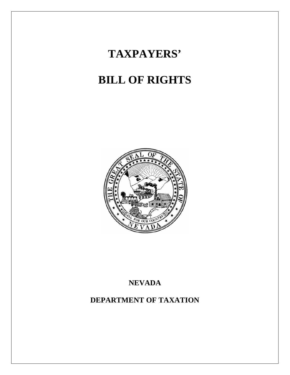# **TAXPAYERS'**

# **BILL OF RIGHTS**



## **NEVADA**

**DEPARTMENT OF TAXATION**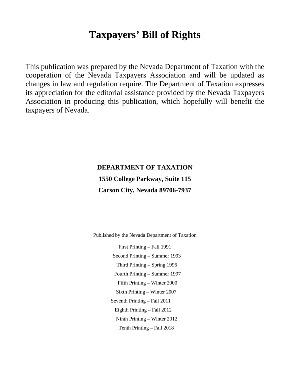## **Taxpayers' Bill of Rights**

This publication was prepared by the Nevada Department of Taxation with the cooperation of the Nevada Taxpayers Association and will be updated as changes in law and regulation require. The Department of Taxation expresses its appreciation for the editorial assistance provided by the Nevada Taxpayers Association in producing this publication, which hopefully will benefit the taxpayers of Nevada.

## **DEPARTMENT OF TAXATION 1550 College Parkway, Suite 115 Carson City, Nevada 89706-7937**

Published by the Nevada Department of Taxation

First Printing – Fall 1991 Second Printing – Summer 1993 Third Printing – Spring 1996 Fourth Printing – Summer 1997 Fifth Printing – Winter 2000 Sixth Printing – Winter 2007 Seventh Printing – Fall 2011 Eighth Printing – Fall 2012 Ninth Printing – Winter 2012 Tenth Printing – Fall 2018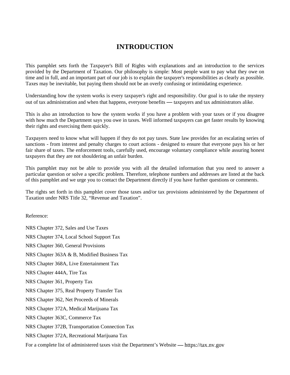## **INTRODUCTION**

This pamphlet sets forth the Taxpayer's Bill of Rights with explanations and an introduction to the services provided by the Department of Taxation. Our philosophy is simple: Most people want to pay what they owe on time and in full, and an important part of our job is to explain the taxpayer's responsibilities as clearly as possible. Taxes may be inevitable, but paying them should not be an overly confusing or intimidating experience.

Understanding how the system works is every taxpayer's right and responsibility. Our goal is to take the mystery out of tax administration and when that happens, everyone benefits **––** taxpayers and tax administrators alike.

This is also an introduction to how the system works if you have a problem with your taxes or if you disagree with how much the Department says you owe in taxes. Well informed taxpayers can get faster results by knowing their rights and exercising them quickly.

Taxpayers need to know what will happen if they do not pay taxes. State law provides for an escalating series of sanctions - from interest and penalty charges to court actions - designed to ensure that everyone pays his or her fair share of taxes. The enforcement tools, carefully used, encourage voluntary compliance while assuring honest taxpayers that they are not shouldering an unfair burden.

This pamphlet may not be able to provide you with all the detailed information that you need to answer a particular question or solve a specific problem. Therefore, telephone numbers and addresses are listed at the back of this pamphlet and we urge you to contact the Department directly if you have further questions or comments.

The rights set forth in this pamphlet cover those taxes and/or tax provisions administered by the Department of Taxation under NRS Title 32, "Revenue and Taxation".

Reference:

NRS Chapter 372, Sales and Use Taxes NRS Chapter 374, Local School Support Tax NRS Chapter 360, General Provisions NRS Chapter 363A & B, Modified Business Tax NRS Chapter 368A, Live Entertainment Tax NRS Chapter 444A, Tire Tax NRS Chapter 361, Property Tax NRS Chapter 375, Real Property Transfer Tax NRS Chapter 362, Net Proceeds of Minerals NRS Chapter 372A, Medical Marijuana Tax NRS Chapter 363C, Commerce Tax NRS Chapter 372B, Transportation Connection Tax NRS Chapter 372A, Recreational Marijuana Tax

For a complete list of administered taxes visit the Department's Website **––** [https://tax.nv.gov](https://tax.nv.gov/)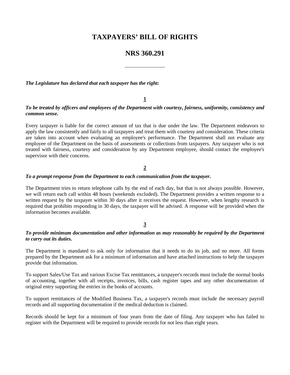## **TAXPAYERS' BILL OF RIGHTS**

### **NRS 360.291**

\_\_\_\_\_\_\_\_\_\_\_\_\_\_\_\_\_

*The Legislature has declared that each taxpayer has the right:*

#### **1**

#### *To be treated by officers and employees of the Department with courtesy, fairness, uniformity, consistency and common sense.*

Every taxpayer is liable for the correct amount of tax that is due under the law. The Department endeavors to apply the law consistently and fairly to all taxpayers and treat them with courtesy and consideration. These criteria are taken into account when evaluating an employee's performance. The Department shall not evaluate any employee of the Department on the basis of assessments or collections from taxpayers. Any taxpayer who is not treated with fairness, courtesy and consideration by any Department employee, should contact the employee's supervisor with their concerns.

#### **2**

#### *To a prompt response from the Department to each communication from the taxpayer.*

The Department tries to return telephone calls by the end of each day, but that is not always possible. However, we will return each call within 48 hours (weekends excluded). The Department provides a written response to a written request by the taxpayer within 30 days after it receives the request. However, when lengthy research is required that prohibits responding in 30 days, the taxpayer will be advised. A response will be provided when the information becomes available.

#### **3**

#### *To provide minimum documentation and other information as may reasonably be required by the Department to carry out its duties.*

The Department is mandated to ask only for information that it needs to do its job, and no more. All forms prepared by the Department ask for a minimum of information and have attached instructions to help the taxpayer provide that information.

To support Sales/Use Tax and various Excise Tax remittances, a taxpayer's records must include the normal books of accounting, together with all receipts, invoices, bills, cash register tapes and any other documentation of original entry supporting the entries in the books of accounts.

To support remittances of the Modified Business Tax, a taxpayer's records must include the necessary payroll records and all supporting documentation if the medical deduction is claimed.

Records should be kept for a minimum of four years from the date of filing. Any taxpayer who has failed to register with the Department will be required to provide records for not less than eight years.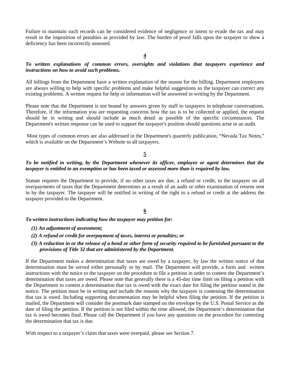Failure to maintain such records can be considered evidence of negligence or intent to evade the tax and may result in the imposition of penalties as provided by law. The burden of proof falls upon the taxpayer to show a deficiency has been incorrectly assessed.

#### **4**

#### *To written explanations of common errors, oversights and violations that taxpayers experience and instructions on how to avoid such problems.*

All billings from the Department have a written explanation of the reason for the billing. Department employees are always willing to help with specific problems and make helpful suggestions so the taxpayer can correct any existing problems. A written request for help or information will be answered in writing by the Department.

Please note that the Department is not bound by answers given by staff to taxpayers in telephone conversations. Therefore, if the information you are requesting concerns how the tax is to be collected or applied, the request should be in writing and should include as much detail as possible of the specific circumstances. The Department's written response can be used to support the taxpayer's position should questions arise in an audit.

Most types of common errors are also addressed in the Department's quarterly publication, "Nevada Tax Notes," which is available on the Department's Website to all taxpayers.

#### **5**

#### *To be notified in writing, by the Department whenever its officer, employee or agent determines that the taxpayer is entitled to an exemption or has been taxed or assessed more than is required by law.*

Statute requires the Department to provide, if no other taxes are due, a refund or credit, to the taxpayer on all overpayments of taxes that the Department determines as a result of an audit or other examination of returns sent in by the taxpayer. The taxpayer will be notified in writing of the right to a refund or credit at the address the taxpayer provided to the Department.

#### **6**

#### *To written instructions indicating how the taxpayer may petition for:*

- *(1) An adjustment of assessment;*
- *(2) A refund or credit for overpayment of taxes, interest or penalties; or*

#### *(3) A reduction in or the release of a bond or other form of security required to be furnished pursuant to the provisions of Title 32 that are administered by the Department.*

If the Department makes a determination that taxes are owed by a taxpayer, by law the written notice of that determination must be served either personally or by mail. The Department will provide, a form and written instructions with the notice to the taxpayer on the procedure to file a petition in order to contest the Department's determination that taxes are owed. Please note that generally there is a 45-day time limit on filing a petition with the Department to contest a determination that tax is owed with the exact date for filing the petition stated in the notice. The petition must be in writing and include the reasons why the taxpayer is contesting the determination that tax is owed. Including supporting documentation may be helpful when filing the petition. If the petition is mailed, the Department will consider the postmark date stamped on the envelope by the U.S. Postal Service as the date of filing the petition. If the petition is not filed within the time allowed, the Department's determination that tax is owed becomes final. Please call the Department if you have any questions on the procedure for contesting the determination that tax is due.

With respect to a taxpayer's claim that taxes were overpaid, please see Section 7.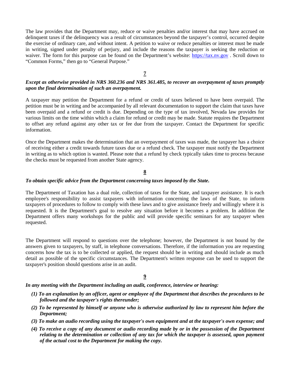The law provides that the Department may, reduce or waive penalties and/or interest that may have accrued on delinquent taxes if the delinquency was a result of circumstances beyond the taxpayer's control, occurred despite the exercise of ordinary care, and without intent. A petition to waive or reduce penalties or interest must be made in writing, signed under penalty of perjury, and include the reasons the taxpayer is seeking the reduction or waiver. The form for this purpose can be found on the Department's website: [https://tax.nv.gov](https://tax.nv.gov/) . Scroll down to "Common Forms," then go to "General Purpose."

#### **7**

#### *Except as otherwise provided in NRS 360.236 and NRS 361.485, to recover an overpayment of taxes promptly upon the final determination of such an overpayment.*

A taxpayer may petition the Department for a refund or credit of taxes believed to have been overpaid. The petition must be in writing and be accompanied by all relevant documentation to support the claim that taxes have been overpaid and a refund or credit is due. Depending on the type of tax involved, Nevada law provides for various limits on the time within which a claim for refund or credit may be made. Statute requires the Department to offset any refund against any other tax or fee due from the taxpayer. Contact the Department for specific information.

Once the Department makes the determination that an overpayment of taxes was made, the taxpayer has a choice of receiving either a credit towards future taxes due or a refund check. The taxpayer must notify the Department in writing as to which option is wanted. Please note that a refund by check typically takes time to process because the checks must be requested from another State agency.

#### **8**

#### *To obtain specific advice from the Department concerning taxes imposed by the State.*

The Department of Taxation has a dual role, collection of taxes for the State, and taxpayer assistance. It is each employee's responsibility to assist taxpayers with information concerning the laws of the State, to inform taxpayers of procedures to follow to comply with these laws and to give assistance freely and willingly where it is requested. It is the Department's goal to resolve any situation before it becomes a problem. In addition the Department offers many workshops for the public and will provide specific seminars for any taxpayer when requested.

The Department will respond to questions over the telephone; however, the Department is not bound by the answers given to taxpayers, by staff, in telephone conversations. Therefore, if the information you are requesting concerns how the tax is to be collected or applied, the request should be in writing and should include as much detail as possible of the specific circumstances. The Department's written response can be used to support the taxpayer's position should questions arise in an audit.

#### **9**

*In any meeting with the Department including an audit, conference, interview or hearing:*

- *(1) To an explanation by an officer, agent or employee of the Department that describes the procedures to be followed and the taxpayer's rights thereunder;*
- *(2) To be represented by himself or anyone who is otherwise authorized by law to represent him before the Department;*
- *(3) To make an audio recording using the taxpayer's own equipment and at the taxpayer's own expense; and*
- *(4) To receive a copy of any document or audio recording made by or in the possession of the Department relating to the determination or collection of any tax for which the taxpayer is assessed, upon payment of the actual cost to the Department for making the copy.*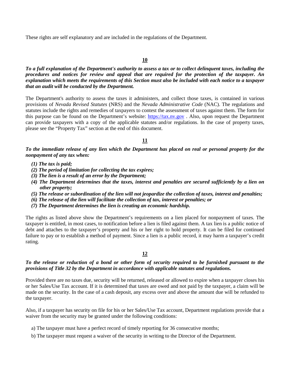These rights are self explanatory and are included in the regulations of the Department.

#### **10**

*To a full explanation of the Department's authority to assess a tax or to collect delinquent taxes, including the procedures and notices for review and appeal that are required for the protection of the taxpayer. An explanation which meets the requirements of this Section must also be included with each notice to a taxpayer that an audit will be conducted by the Department.*

The Department's authority to assess the taxes it administers, and collect those taxes, is contained in various provisions of *Nevada Revised Statutes* (NRS) and the *Nevada Administrative Code* (NAC). The regulations and statutes include the rights and remedies of taxpayers to contest the assessment of taxes against them. The form for this purpose can be found on the Department's website: [https://tax.nv.gov](https://tax.nv.gov/) . Also, upon request the Department can provide taxpayers with a copy of the applicable statutes and/or regulations. In the case of property taxes, please see the "Property Tax" section at the end of this document.

#### **11**

*To the immediate release of any lien which the Department has placed on real or personal property for the nonpayment of any tax when:* 

- *(1) The tax is paid;*
- *(2) The period of limitation for collecting the tax expires;*
- *(3) The lien is a result of an error by the Department;*
- *(4) The Department determines that the taxes, interest and penalties are secured sufficiently by a lien on other property;*
- *(5) The release or subordination of the lien will not jeopardize the collection of taxes, interest and penalties;*
- *(6) The release of the lien will facilitate the collection of tax, interest or penalties; or*
- *(7) The Department determines the lien is creating an economic hardship.*

The rights as listed above show the Department's requirements on a lien placed for nonpayment of taxes. The taxpayer is entitled, in most cases, to notification before a lien is filed against them. A tax lien is a public notice of debt and attaches to the taxpayer's property and his or her right to hold property. It can be filed for continued failure to pay or to establish a method of payment. Since a lien is a public record, it may harm a taxpayer's credit rating.

#### **12**

#### *To the release or reduction of a bond or other form of security required to be furnished pursuant to the provisions of Title 32 by the Department in accordance with applicable statutes and regulations.*

Provided there are no taxes due, security will be returned, released or allowed to expire when a taxpayer closes his or her Sales/Use Tax account. If it is determined that taxes are owed and not paid by the taxpayer, a claim will be made on the security. In the case of a cash deposit, any excess over and above the amount due will be refunded to the taxpayer.

Also, if a taxpayer has security on file for his or her Sales/Use Tax account, Department regulations provide that a waiver from the security may be granted under the following conditions:

- a) The taxpayer must have a perfect record of timely reporting for 36 consecutive months;
- b) The taxpayer must request a waiver of the security in writing to the Director of the Department.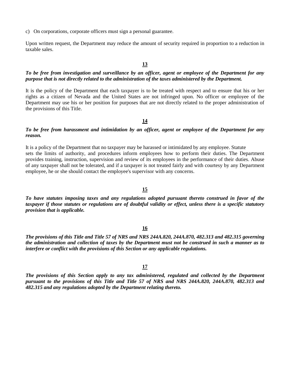c) On corporations, corporate officers must sign a personal guarantee.

Upon written request, the Department may reduce the amount of security required in proportion to a reduction in taxable sales.

#### **13**

#### *To be free from investigation and surveillance by an officer, agent or employee of the Department for any purpose that is not directly related to the administration of the taxes administered by the Department.*

It is the policy of the Department that each taxpayer is to be treated with respect and to ensure that his or her rights as a citizen of Nevada and the United States are not infringed upon. No officer or employee of the Department may use his or her position for purposes that are not directly related to the proper administration of the provisions of this Title.

**14** 

#### *To be free from harassment and intimidation by an officer, agent or employee of the Department for any reason.*

It is a policy of the Department that no taxpayer may be harassed or intimidated by any employee. Statute sets the limits of authority, and procedures inform employees how to perform their duties. The Department provides training, instruction, supervision and review of its employees in the performance of their duties. Abuse of any taxpayer shall not be tolerated, and if a taxpayer is not treated fairly and with courtesy by any Department employee, he or she should contact the employee's supervisor with any concerns.

#### **15**

*To have statutes imposing taxes and any regulations adopted pursuant thereto construed in favor of the taxpayer if those statutes or regulations are of doubtful validity or effect, unless there is a specific statutory provision that is applicable.* 

#### **16**

*The provisions of this Title and Title 57 of NRS and NRS 244A.820, 244A.870, 482.313 and 482.315 governing the administration and collection of taxes by the Department must not be construed in such a manner as to interfere or conflict with the provisions of this Section or any applicable regulations.*

#### **17**

*The provisions of this Section apply to any tax administered, regulated and collected by the Department pursuant to the provisions of this Title and Title 57 of NRS and NRS 244A.820, 244A.870, 482.313 and 482.315 and any regulations adopted by the Department relating thereto.*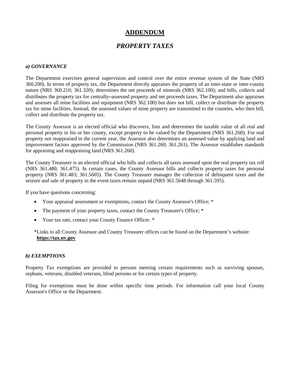## **ADDENDUM**

## *PROPERTY TAXES*

#### *a) GOVERNANCE*

The Department exercises general supervision and control over the entire revenue system of the State (NRS 360.200). In terms of property tax, the Department directly appraises the property of an inter-state or inter-county nature (NRS 360.210; 361.320); determines the net proceeds of minerals (NRS 362.100); and bills, collects and distributes the property tax for centrally**–**assessed property and net proceeds taxes. The Department also appraises and assesses all mine facilities and equipment (NRS 362.100) but does not bill, collect or distribute the property tax for mine facilities. Instead, the assessed values of mine property are transmitted to the counties, who then bill, collect and distribute the property tax.

The County Assessor is an elected official who discovers, lists and determines the taxable value of all real and personal property in his or her county, except property to be valued by the Department (NRS 361.260). For real property not reappraised in the current year, the Assessor also determines an assessed value by applying land and improvement factors approved by the Commission (NRS 361.260; 361.261). The Assessor establishes standards for appraising and reappraising land (NRS 361.260).

The County Treasurer is an elected official who bills and collects all taxes assessed upon the real property tax roll (NRS 361.480; 361.475). In certain cases, the County Assessor bills and collects property taxes for personal property (NRS 361.483; 361.5605). The County Treasurer manages the collection of delinquent taxes and the seizure and sale of property in the event taxes remain unpaid (NRS 361.5648 through 361.595).

If you have questions concerning:

- Your appraisal assessment or exemptions, contact the County Assessor's Office; \*
- The payment of your property taxes, contact the County Treasurer's Office; \*
- Your tax rate, contact your County Finance Officer. \*

\*Links to all County Assessor and County Treasurer offices can be found on the Department's website: **[https://tax.nv.gov](https://tax.nv.gov/)**

#### *b) EXEMPTIONS*

Property Tax exemptions are provided to persons meeting certain requirements such as surviving spouses, orphans, veterans, disabled veterans, blind persons or for certain types of property.

Filing for exemptions must be done within specific time periods. For information call your local County Assessor's Office or the Department.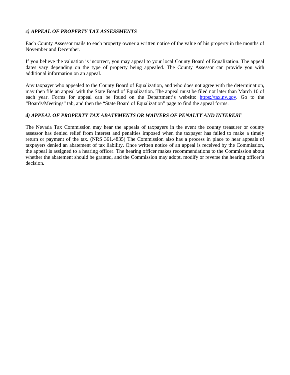#### *c) APPEAL OF PROPERTY TAX ASSESSMENTS*

Each County Assessor mails to each property owner a written notice of the value of his property in the months of November and December.

If you believe the valuation is incorrect, you may appeal to your local County Board of Equalization. The appeal dates vary depending on the type of property being appealed. The County Assessor can provide you with additional information on an appeal.

Any taxpayer who appealed to the County Board of Equalization, and who does not agree with the determination, may then file an appeal with the State Board of Equalization. The appeal must be filed not later than March 10 of each year. Forms for appeal can be found on the Department's website: [https://tax.nv.gov.](https://tax.nv.gov/) Go to the "Boards/Meetings" tab, and then the "State Board of Equalization" page to find the appeal forms.

#### *d) APPEAL OF PROPERTY TAX ABATEMENTS OR WAIVERS OF PENALTY AND INTEREST*

The Nevada Tax Commission may hear the appeals of taxpayers in the event the county treasurer or county assessor has denied relief from interest and penalties imposed when the taxpayer has failed to make a timely return or payment of the tax. (NRS 361.4835) The Commission also has a process in place to hear appeals of taxpayers denied an abatement of tax liability. Once written notice of an appeal is received by the Commission, the appeal is assigned to a hearing officer. The hearing officer makes recommendations to the Commission about whether the abatement should be granted, and the Commission may adopt, modify or reverse the hearing officer's decision.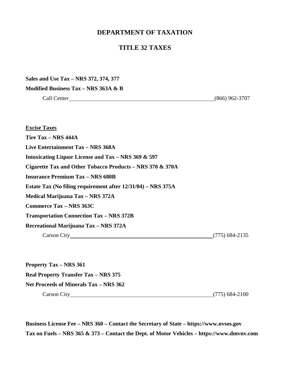### **DEPARTMENT OF TAXATION**

### **TITLE 32 TAXES**

**Sales and Use Tax – NRS 372, 374, 377** 

**Modified Business Tax – NRS 363A & B**

Call Center (866) 962-3707

**Excise Taxes Tire Tax – NRS 444A Live Entertainment Tax – NRS 368A Intoxicating Liquor License and Tax – NRS 369 & 597 Cigarette Tax and Other Tobacco Products – NRS 370 & 370A Insurance Premium Tax – NRS 680B Estate Tax (No filing requirement after 12/31/04) – NRS 375A Medical Marijuana Tax – NRS 372A Commerce Tax – NRS 363C Transportation Connection Tax – NRS 372B Recreational Marijuana Tax – NRS 372A**  Carson City (775) 684-2135

**Property Tax – NRS 361 Real Property Transfer Tax – NRS 375 Net Proceeds of Minerals Tax – NRS 362**  Carson City (775) 684-2100

**Business License Fee – NRS 360 – Contact the Secretary of State – https://www.nvsos.gov Tax on Fuels – NRS 365 & 373 – Contact the Dept. of Motor Vehicles –<https://www.dmvnv.com>**